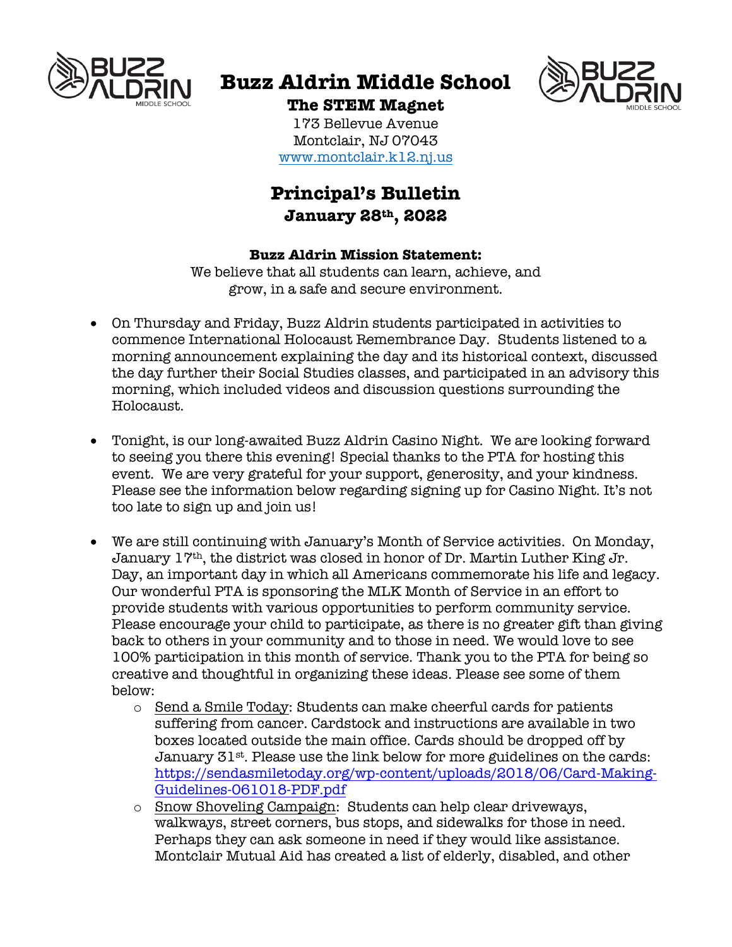

# **Buzz Aldrin Middle School**



**The STEM Magnet** 173 Bellevue Avenue Montclair, NJ 07043 www.montclair.k12.nj.us

# **Principal's Bulletin January 28th, 2022**

### **Buzz Aldrin Mission Statement:**

We believe that all students can learn, achieve, and grow, in a safe and secure environment.

- On Thursday and Friday, Buzz Aldrin students participated in activities to commence International Holocaust Remembrance Day. Students listened to a morning announcement explaining the day and its historical context, discussed the day further their Social Studies classes, and participated in an advisory this morning, which included videos and discussion questions surrounding the Holocaust.
- Tonight, is our long-awaited Buzz Aldrin Casino Night. We are looking forward to seeing you there this evening! Special thanks to the PTA for hosting this event. We are very grateful for your support, generosity, and your kindness. Please see the information below regarding signing up for Casino Night. It's not too late to sign up and join us!
- We are still continuing with January's Month of Service activities. On Monday, January 17th, the district was closed in honor of Dr. Martin Luther King Jr. Day, an important day in which all Americans commemorate his life and legacy. Our wonderful PTA is sponsoring the MLK Month of Service in an effort to provide students with various opportunities to perform community service. Please encourage your child to participate, as there is no greater gift than giving back to others in your community and to those in need. We would love to see 100% participation in this month of service. Thank you to the PTA for being so creative and thoughtful in organizing these ideas. Please see some of them below:
	- $\circ$  Send a Smile Today: Students can make cheerful cards for patients suffering from cancer. Cardstock and instructions are available in two boxes located outside the main office. Cards should be dropped off by January 31st. Please use the link below for more guidelines on the cards: https://sendasmiletoday.org/wp-content/uploads/2018/06/Card-Making-Guidelines-061018-PDF.pdf
	- o Snow Shoveling Campaign: Students can help clear driveways, walkways, street corners, bus stops, and sidewalks for those in need. Perhaps they can ask someone in need if they would like assistance. Montclair Mutual Aid has created a list of elderly, disabled, and other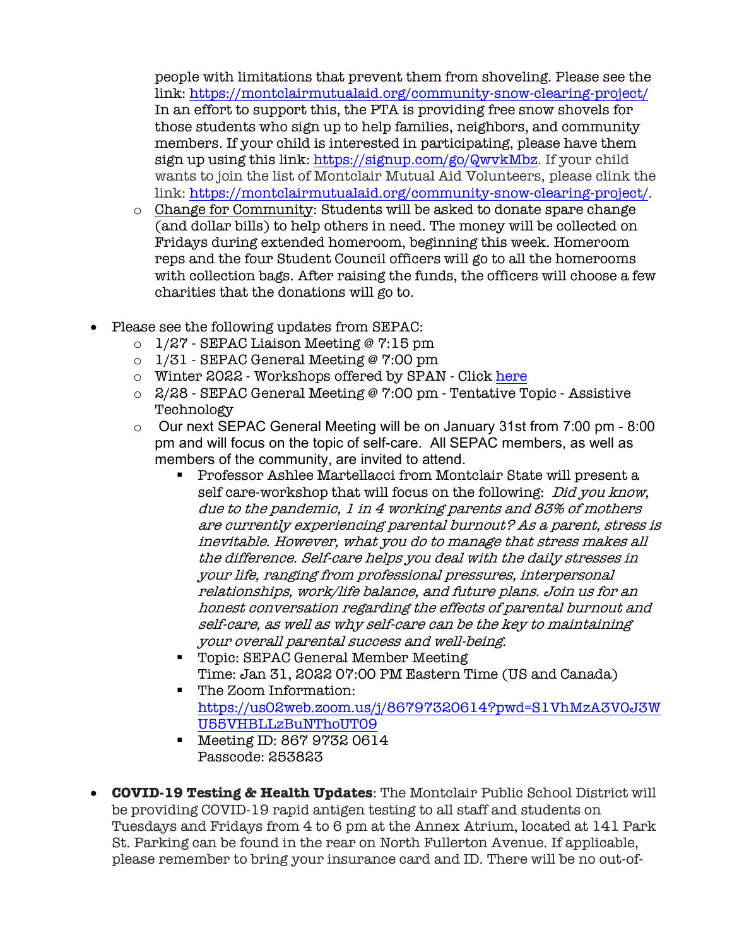people with limitations that prevent them from shoveling. Please see the link: https://montclairmutualaid.org/community-snow-clearing-project/ In an effort to support this, the PTA is providing free snow shovels for those students who sign up to help families, neighbors, and community members. If your child is interested in participating, please have them sign up using this link: https://signup.com/go/QwvkMbz. If your child wants to join the list of Montclair Mutual Aid Volunteers, please clink the link: https://montclairmutualaid.org/community-snow-clearing-project/.

- $\circ$  Change for Community: Students will be asked to donate spare change (and dollar bills) to help others in need. The money will be collected on Fridays during extended homeroom, beginning this week. Homeroom reps and the four Student Council officers will go to all the homerooms with collection bags. After raising the funds, the officers will choose a few charities that the donations will go to.
- Please see the following updates from SEPAC:
	- $\circ$  1/27 SEPAC Liaison Meeting @ 7:15 pm
	- o 1/31 SEPAC General Meeting @ 7:00 pm
	- o Winter 2022 Workshops offered by SPAN Click here
	- $\circ$  2/28 SEPAC General Meeting @ 7:00 pm Tentative Topic Assistive Technology
	- o Our next SEPAC General Meeting will be on January 31st from 7:00 pm 8:00 pm and will focus on the topic of self-care. All SEPAC members, as well as members of the community, are invited to attend.
		- Professor Ashlee Martellacci from Montclair State will present a self care-workshop that will focus on the following: Did you know, due to the pandemic, 1 in 4 working parents and 83% of mothers are currently experiencing parental burnout? As a parent, stress is inevitable. However, what you do to manage that stress makes all the difference. Self-care helps you deal with the daily stresses in your life, ranging from professional pressures, interpersonal relationships, work/life balance, and future plans. Join us for an honest conversation regarding the effects of parental burnout and self-care, as well as why self-care can be the key to maintaining your overall parental success and well-being.
		- Topic: SEPAC General Member Meeting Time: Jan 31, 2022 07:00 PM Eastern Time (US and Canada)
		- The Zoom Information: https://us02web.zoom.us/j/86797320614?pwd=S1VhMzA3V0J3W U55VHBLLzBuNThoUT09
		- Meeting ID: 867 9732 0614 Passcode: 253823
- **COVID-19 Testing & Health Updates**: The Montclair Public School District will be providing COVID-19 rapid antigen testing to all staff and students on Tuesdays and Fridays from 4 to 6 pm at the Annex Atrium, located at 141 Park St. Parking can be found in the rear on North Fullerton Avenue. If applicable, please remember to bring your insurance card and ID. There will be no out-of-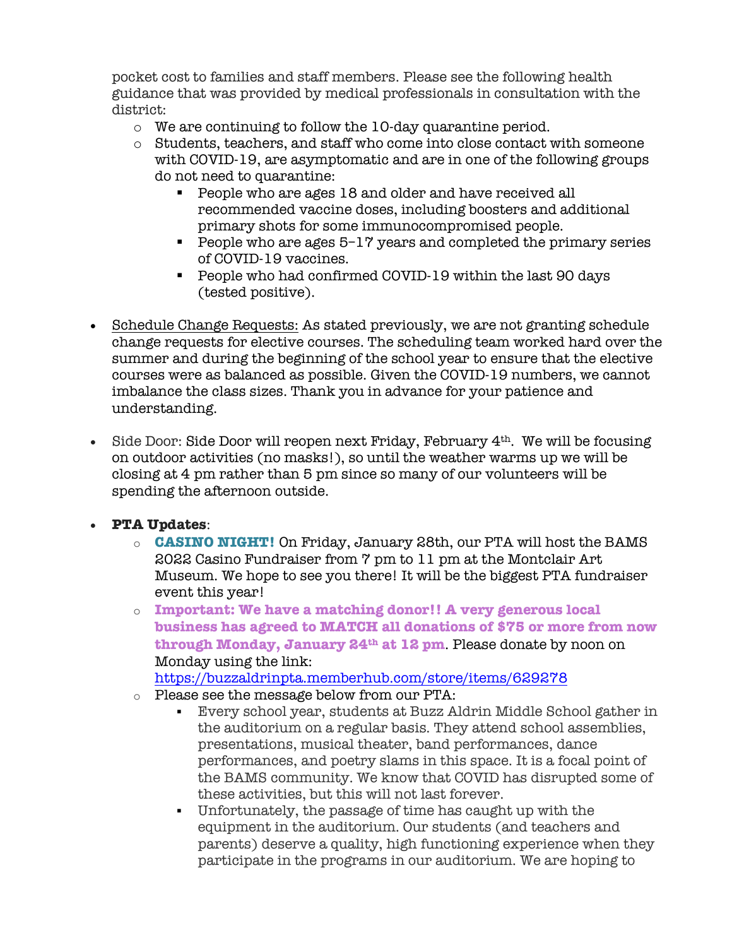pocket cost to families and staff members. Please see the following health guidance that was provided by medical professionals in consultation with the district:

- o We are continuing to follow the 10-day quarantine period.
- o Students, teachers, and staff who come into close contact with someone with COVID-19, are asymptomatic and are in one of the following groups do not need to quarantine:
	- People who are ages 18 and older and have received all recommended vaccine doses, including boosters and additional primary shots for some immunocompromised people.
	- § People who are ages 5–17 years and completed the primary series of COVID-19 vaccines.
	- § People who had confirmed COVID-19 within the last 90 days (tested positive).
- Schedule Change Requests: As stated previously, we are not granting schedule change requests for elective courses. The scheduling team worked hard over the summer and during the beginning of the school year to ensure that the elective courses were as balanced as possible. Given the COVID-19 numbers, we cannot imbalance the class sizes. Thank you in advance for your patience and understanding.
- Side Door: Side Door will reopen next Friday, February  $4<sup>th</sup>$ . We will be focusing on outdoor activities (no masks!), so until the weather warms up we will be closing at 4 pm rather than 5 pm since so many of our volunteers will be spending the afternoon outside.

# • **PTA Updates**:

- o **CASINO NIGHT!** On Friday, January 28th, our PTA will host the BAMS 2022 Casino Fundraiser from 7 pm to 11 pm at the Montclair Art Museum. We hope to see you there! It will be the biggest PTA fundraiser event this year!
- o **Important: We have a matching donor!! A very generous local business has agreed to MATCH all donations of \$75 or more from now through Monday, January 24th at 12 pm**. Please donate by noon on Monday using the link:

https://buzzaldrinpta.memberhub.com/store/items/629278

- o Please see the message below from our PTA:
	- § Every school year, students at Buzz Aldrin Middle School gather in the auditorium on a regular basis. They attend school assemblies, presentations, musical theater, band performances, dance performances, and poetry slams in this space. It is a focal point of the BAMS community. We know that COVID has disrupted some of these activities, but this will not last forever.
	- § Unfortunately, the passage of time has caught up with the equipment in the auditorium. Our students (and teachers and parents) deserve a quality, high functioning experience when they participate in the programs in our auditorium. We are hoping to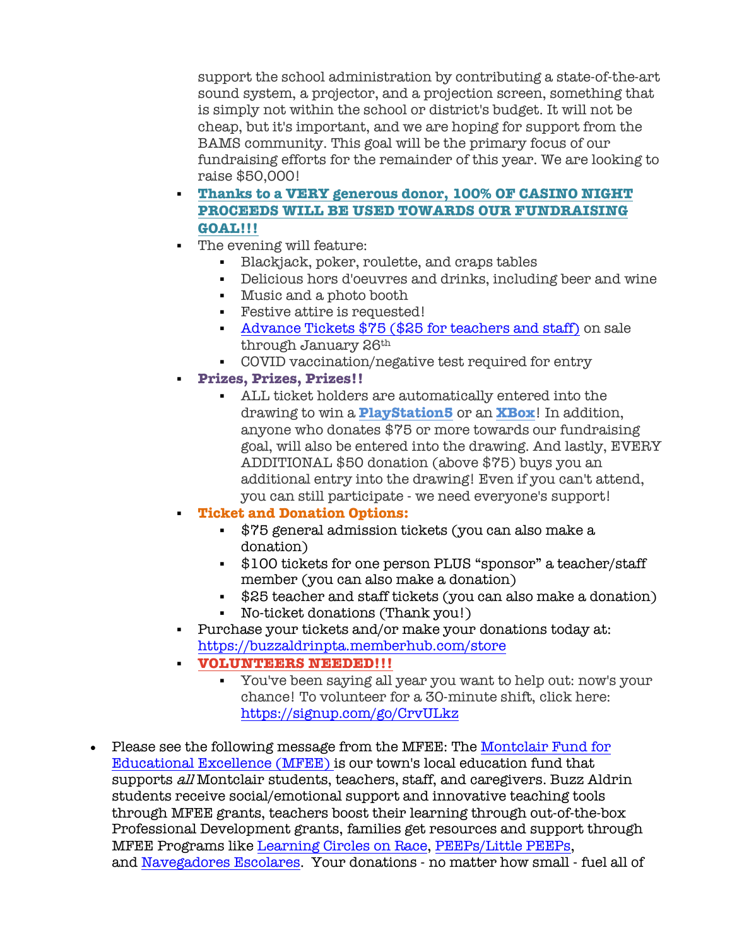support the school administration by contributing a state-of-the-art sound system, a projector, and a projection screen, something that is simply not within the school or district's budget. It will not be cheap, but it's important, and we are hoping for support from the BAMS community. This goal will be the primary focus of our fundraising efforts for the remainder of this year. We are looking to raise \$50,000!

- § **Thanks to a VERY generous donor, 100% OF CASINO NIGHT PROCEEDS WILL BE USED TOWARDS OUR FUNDRAISING GOAL!!!**
- The evening will feature:
	- § Blackjack, poker, roulette, and craps tables
	- Delicious hors d'oeuvres and drinks, including beer and wine
	- § Music and a photo booth
	- Festive attire is requested!
	- § Advance Tickets \$75 (\$25 for teachers and staff) on sale through January 26th
	- § COVID vaccination/negative test required for entry
	- § **Prizes, Prizes, Prizes!!**
		- § ALL ticket holders are automatically entered into the drawing to win a **PlayStation5** or an **XBox**! In addition, anyone who donates \$75 or more towards our fundraising goal, will also be entered into the drawing. And lastly, EVERY ADDITIONAL \$50 donation (above \$75) buys you an additional entry into the drawing! Even if you can't attend, you can still participate - we need everyone's support!

### § **Ticket and Donation Options:**

- § \$75 general admission tickets (you can also make a donation)
- § \$100 tickets for one person PLUS "sponsor" a teacher/staff member (you can also make a donation)
- \$25 teacher and staff tickets (you can also make a donation)
- § No-ticket donations (Thank you!)
- § Purchase your tickets and/or make your donations today at: https://buzzaldrinpta.memberhub.com/store
- § **VOLUNTEERS NEEDED!!!**
	- § You've been saying all year you want to help out: now's your chance! To volunteer for a 30-minute shift, click here: https://signup.com/go/CrvULkz
- Please see the following message from the MFEE: The Montclair Fund for Educational Excellence (MFEE) is our town's local education fund that supports all Montclair students, teachers, staff, and caregivers. Buzz Aldrin students receive social/emotional support and innovative teaching tools through MFEE grants, teachers boost their learning through out-of-the-box Professional Development grants, families get resources and support through MFEE Programs like Learning Circles on Race, PEEPs/Little PEEPs, and Navegadores Escolares. Your donations - no matter how small - fuel all of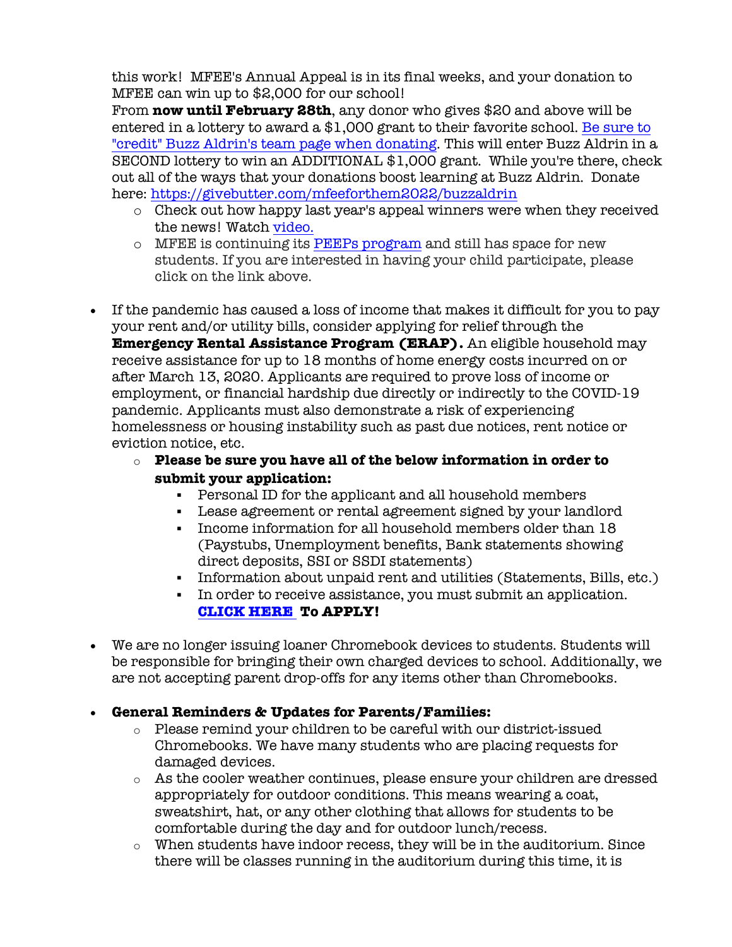this work! MFEE's Annual Appeal is in its final weeks, and your donation to MFEE can win up to \$2,000 for our school!

From **now until February 28th**, any donor who gives \$20 and above will be entered in a lottery to award a \$1,000 grant to their favorite school. Be sure to "credit" Buzz Aldrin's team page when donating. This will enter Buzz Aldrin in a SECOND lottery to win an ADDITIONAL \$1,000 grant. While you're there, check out all of the ways that your donations boost learning at Buzz Aldrin. Donate here: https://givebutter.com/mfeeforthem2022/buzzaldrin

- o Check out how happy last year's appeal winners were when they received the news! Watch video.
- o MFEE is continuing its PEEPs program and still has space for new students. If you are interested in having your child participate, please click on the link above.
- If the pandemic has caused a loss of income that makes it difficult for you to pay your rent and/or utility bills, consider applying for relief through the **Emergency Rental Assistance Program (ERAP).** An eligible household may receive assistance for up to 18 months of home energy costs incurred on or after March 13, 2020. Applicants are required to prove loss of income or employment, or financial hardship due directly or indirectly to the COVID-19 pandemic. Applicants must also demonstrate a risk of experiencing homelessness or housing instability such as past due notices, rent notice or eviction notice, etc.

# o **Please be sure you have all of the below information in order to submit your application:**

- § Personal ID for the applicant and all household members
- § Lease agreement or rental agreement signed by your landlord
- § Income information for all household members older than 18 (Paystubs, Unemployment benefits, Bank statements showing direct deposits, SSI or SSDI statements)
- § Information about unpaid rent and utilities (Statements, Bills, etc.)
- § In order to receive assistance, you must submit an application. **CLICK HERE To APPLY!**
- We are no longer issuing loaner Chromebook devices to students. Students will be responsible for bringing their own charged devices to school. Additionally, we are not accepting parent drop-offs for any items other than Chromebooks.
- **General Reminders & Updates for Parents/Families:**
	- $\circ$  Please remind your children to be careful with our district-issued Chromebooks. We have many students who are placing requests for damaged devices.
	- o As the cooler weather continues, please ensure your children are dressed appropriately for outdoor conditions. This means wearing a coat, sweatshirt, hat, or any other clothing that allows for students to be comfortable during the day and for outdoor lunch/recess.
	- $\circ$  When students have indoor recess, they will be in the auditorium. Since there will be classes running in the auditorium during this time, it is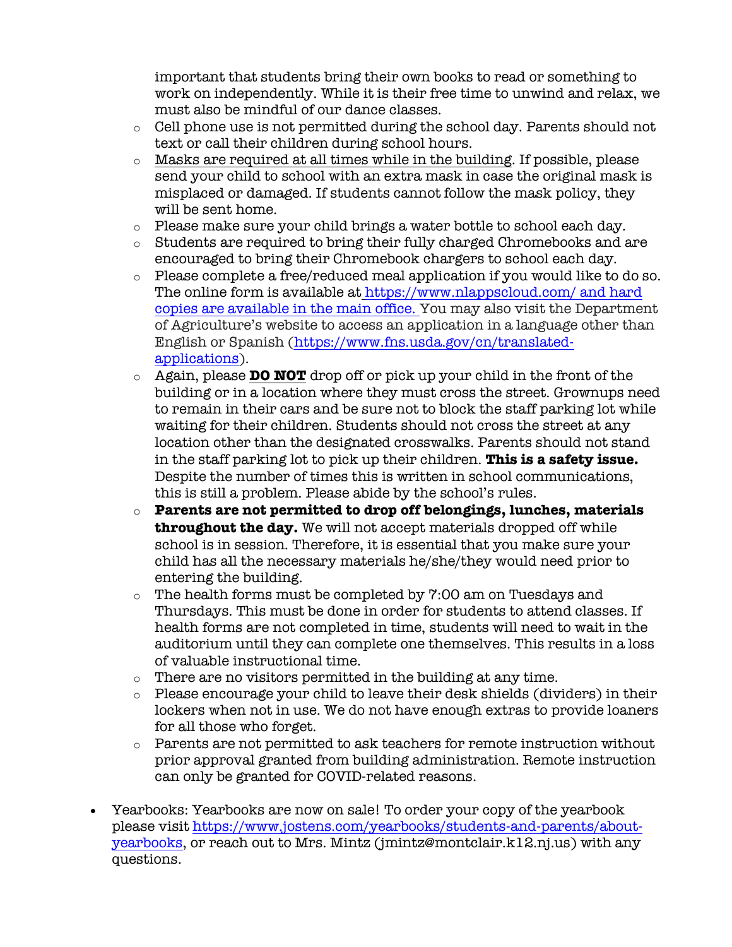important that students bring their own books to read or something to work on independently. While it is their free time to unwind and relax, we must also be mindful of our dance classes.

- o Cell phone use is not permitted during the school day. Parents should not text or call their children during school hours.
- o Masks are required at all times while in the building. If possible, please send your child to school with an extra mask in case the original mask is misplaced or damaged. If students cannot follow the mask policy, they will be sent home.
- $\circ$  Please make sure your child brings a water bottle to school each day.
- o Students are required to bring their fully charged Chromebooks and are encouraged to bring their Chromebook chargers to school each day.
- o Please complete a free/reduced meal application if you would like to do so. The online form is available at https://www.nlappscloud.com/ and hard copies are available in the main office. You may also visit the Department of Agriculture's website to access an application in a language other than English or Spanish (https://www.fns.usda.gov/cn/translatedapplications).
- o Again, please **DO NOT** drop off or pick up your child in the front of the building or in a location where they must cross the street. Grownups need to remain in their cars and be sure not to block the staff parking lot while waiting for their children. Students should not cross the street at any location other than the designated crosswalks. Parents should not stand in the staff parking lot to pick up their children. **This is a safety issue.** Despite the number of times this is written in school communications, this is still a problem. Please abide by the school's rules.
- o **Parents are not permitted to drop off belongings, lunches, materials throughout the day.** We will not accept materials dropped off while school is in session. Therefore, it is essential that you make sure your child has all the necessary materials he/she/they would need prior to entering the building.
- o The health forms must be completed by 7:00 am on Tuesdays and Thursdays. This must be done in order for students to attend classes. If health forms are not completed in time, students will need to wait in the auditorium until they can complete one themselves. This results in a loss of valuable instructional time.
- o There are no visitors permitted in the building at any time.
- o Please encourage your child to leave their desk shields (dividers) in their lockers when not in use. We do not have enough extras to provide loaners for all those who forget.
- o Parents are not permitted to ask teachers for remote instruction without prior approval granted from building administration. Remote instruction can only be granted for COVID-related reasons.
- Yearbooks: Yearbooks are now on sale! To order your copy of the yearbook please visit https://www.jostens.com/yearbooks/students-and-parents/aboutyearbooks, or reach out to Mrs. Mintz (jmintz@montclair.k12.nj.us) with any questions.